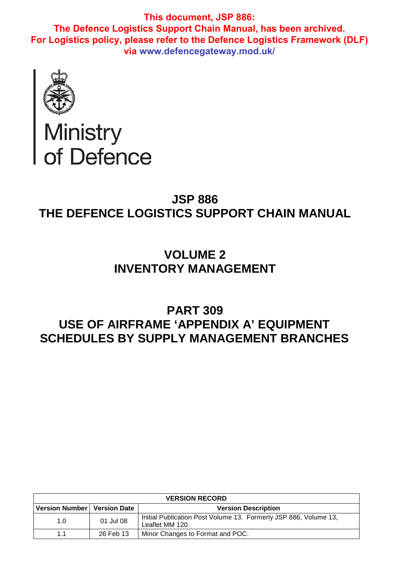

# Ministry<br>of Defence

# **JSP 886 THE DEFENCE LOGISTICS SUPPORT CHAIN MANUAL**

# **VOLUME 2 INVENTORY MANAGEMENT**

# **PART 309 USE OF AIRFRAME 'APPENDIX A' EQUIPMENT SCHEDULES BY SUPPLY MANAGEMENT BRANCHES**

| <b>VERSION RECORD</b>         |           |                                                                                     |  |  |
|-------------------------------|-----------|-------------------------------------------------------------------------------------|--|--|
| Version Number   Version Date |           | <b>Version Description</b>                                                          |  |  |
| 1.0                           | 01 Jul 08 | Initial Publication Post Volume 13. Formerly JSP 886, Volume 13,<br>Leaflet MM 120. |  |  |
| 1.1                           | 26 Feb 13 | Minor Changes to Format and POC.                                                    |  |  |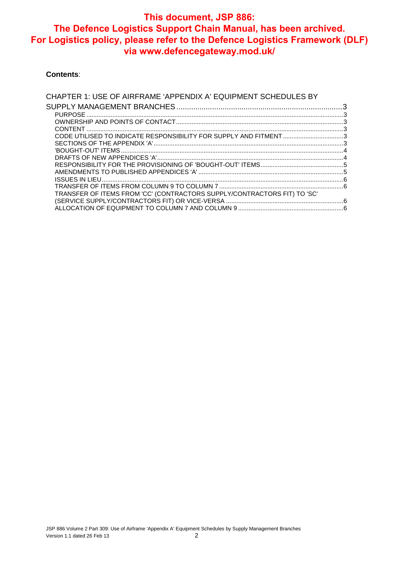#### **Contents**:

| CHAPTER 1: USE OF AIRFRAME 'APPENDIX A' EQUIPMENT SCHEDULES BY           |  |
|--------------------------------------------------------------------------|--|
|                                                                          |  |
|                                                                          |  |
|                                                                          |  |
|                                                                          |  |
| CODE UTILISED TO INDICATE RESPONSIBILITY FOR SUPPLY AND FITMENT3         |  |
|                                                                          |  |
|                                                                          |  |
|                                                                          |  |
|                                                                          |  |
|                                                                          |  |
|                                                                          |  |
|                                                                          |  |
| TRANSFER OF ITEMS FROM 'CC' (CONTRACTORS SUPPLY/CONTRACTORS FIT) TO 'SC' |  |
|                                                                          |  |
|                                                                          |  |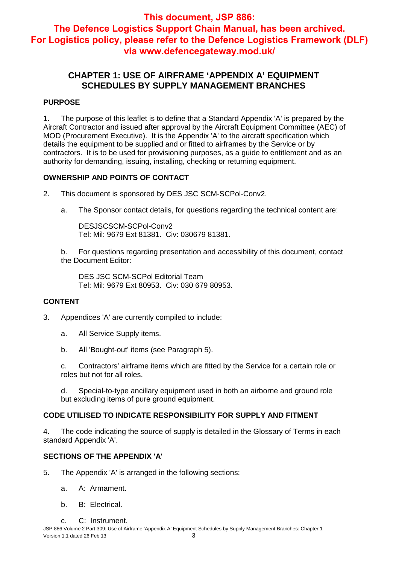# **CHAPTER 1: USE OF AIRFRAME 'APPENDIX A' EQUIPMENT SCHEDULES BY SUPPLY MANAGEMENT BRANCHES**

## **PURPOSE**

1. The purpose of this leaflet is to define that a Standard Appendix 'A' is prepared by the Aircraft Contractor and issued after approval by the Aircraft Equipment Committee (AEC) of MOD (Procurement Executive). It is the Appendix 'A' to the aircraft specification which details the equipment to be supplied and or fitted to airframes by the Service or by contractors. It is to be used for provisioning purposes, as a guide to entitlement and as an authority for demanding, issuing, installing, checking or returning equipment.

# **OWNERSHIP AND POINTS OF CONTACT**

- 2. This document is sponsored by DES JSC SCM-SCPol-Conv2.
	- a. The Sponsor contact details, for questions regarding the technical content are:

DESJSCSCM-SCPol-Conv2 Tel: Mil: 9679 Ext 81381. Civ: 030679 81381.

b. For questions regarding presentation and accessibility of this document, contact the Document Editor:

DES JSC SCM-SCPol Editorial Team Tel: Mil: 9679 Ext 80953. Civ: 030 679 80953.

# **CONTENT**

- 3. Appendices 'A' are currently compiled to include:
	- a. All Service Supply items.
	- b. All 'Bought-out' items (see Paragraph 5).

c. Contractors' airframe items which are fitted by the Service for a certain role or roles but not for all roles.

d. Special-to-type ancillary equipment used in both an airborne and ground role but excluding items of pure ground equipment.

#### **CODE UTILISED TO INDICATE RESPONSIBILITY FOR SUPPLY AND FITMENT**

4. The code indicating the source of supply is detailed in the Glossary of Terms in each standard Appendix 'A'.

# **SECTIONS OF THE APPENDIX 'A'**

- 5. The Appendix 'A' is arranged in the following sections:
	- a. A: Armament.
	- b. B: Electrical.
	- c. C: Instrument.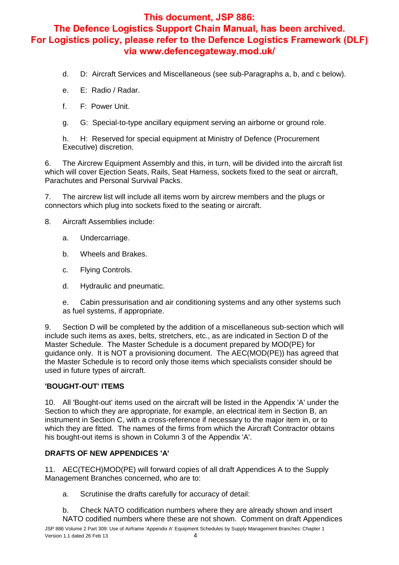- d. D: Aircraft Services and Miscellaneous (see sub-Paragraphs a, b, and c below).
- e. E: Radio / Radar.
- f. F: Power Unit.
- g. G: Special-to-type ancillary equipment serving an airborne or ground role.

h. H: Reserved for special equipment at Ministry of Defence (Procurement Executive) discretion.

6. The Aircrew Equipment Assembly and this, in turn, will be divided into the aircraft list which will cover Ejection Seats, Rails, Seat Harness, sockets fixed to the seat or aircraft, Parachutes and Personal Survival Packs.

7. The aircrew list will include all items worn by aircrew members and the plugs or connectors which plug into sockets fixed to the seating or aircraft.

8. Aircraft Assemblies include:

- a. Undercarriage.
- b. Wheels and Brakes.
- c. Flying Controls.
- d. Hydraulic and pneumatic.

e. Cabin pressurisation and air conditioning systems and any other systems such as fuel systems, if appropriate.

9. Section D will be completed by the addition of a miscellaneous sub-section which will include such items as axes, belts, stretchers, etc., as are indicated in Section D of the Master Schedule. The Master Schedule is a document prepared by MOD(PE) for guidance only. It is NOT a provisioning document. The AEC(MOD(PE)) has agreed that the Master Schedule is to record only those items which specialists consider should be used in future types of aircraft.

#### **'BOUGHT-OUT' ITEMS**

10. All 'Bought-out' items used on the aircraft will be listed in the Appendix 'A' under the Section to which they are appropriate, for example, an electrical item in Section B, an instrument in Section C, with a cross-reference if necessary to the major item in, or to which they are fitted. The names of the firms from which the Aircraft Contractor obtains his bought-out items is shown in Column 3 of the Appendix 'A'.

#### **DRAFTS OF NEW APPENDICES 'A'**

11. AEC(TECH)MOD(PE) will forward copies of all draft Appendices A to the Supply Management Branches concerned, who are to:

a. Scrutinise the drafts carefully for accuracy of detail:

b. Check NATO codification numbers where they are already shown and insert NATO codified numbers where these are not shown. Comment on draft Appendices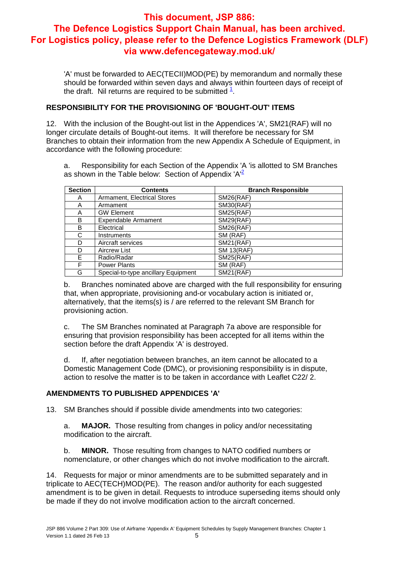'A' must be forwarded to AEC(TECII)MOD(PE) by memorandum and normally these should be forwarded within seven days and always within fourteen days of receipt of the draft. Nil returns are required to be submitted  $\frac{1}{1}$ .

# **RESPONSIBILITY FOR THE PROVISIONING OF 'BOUGHT-OUT' ITEMS**

12. With the inclusion of the Bought-out list in the Appendices 'A', SM21(RAF) will no longer circulate details of Bought-out items. It will therefore be necessary for SM Branches to obtain their information from the new Appendix A Schedule of Equipment, in accordance with the following procedure:

a. Responsibility for each Section of the Appendix 'A 'is allotted to SM Branches as shown in the Table below: Section of Appendix 'A'<sup>2</sup>

| <b>Section</b> | <b>Contents</b>                     | <b>Branch Responsible</b> |
|----------------|-------------------------------------|---------------------------|
| A              | Armament, Electrical Stores         | <b>SM26(RAF)</b>          |
| A              | Armament                            | <b>SM30(RAF)</b>          |
| A              | <b>GW Element</b>                   | <b>SM25(RAF)</b>          |
| B              | <b>Expendable Armament</b>          | <b>SM29(RAF)</b>          |
| B              | Electrical                          | <b>SM26(RAF)</b>          |
| C              | <b>Instruments</b>                  | SM (RAF)                  |
| D              | Aircraft services                   | <b>SM21(RAF)</b>          |
| D              | <b>Aircrew List</b>                 | <b>SM 13(RAF)</b>         |
| F.             | Radio/Radar                         | <b>SM25(RAF)</b>          |
| F              | <b>Power Plants</b>                 | SM (RAF)                  |
| G              | Special-to-type ancillary Equipment | <b>SM21(RAF)</b>          |

b. Branches nominated above are charged with the full responsibility for ensuring that, when appropriate, provisioning and-or vocabulary action is initiated or, alternatively, that the items(s) is / are referred to the relevant SM Branch for provisioning action.

c. The SM Branches nominated at Paragraph 7a above are responsible for ensuring that provision responsibility has been accepted for all items within the section before the draft Appendix 'A' is destroyed.

d. If, after negotiation between branches, an item cannot be allocated to a Domestic Management Code (DMC), or provisioning responsibility is in dispute, action to resolve the matter is to be taken in accordance with Leaflet C22/ 2.

#### **AMENDMENTS TO PUBLISHED APPENDICES 'A'**

13. SM Branches should if possible divide amendments into two categories:

a. **MAJOR.** Those resulting from changes in policy and/or necessitating modification to the aircraft.

b. **MINOR.** Those resulting from changes to NATO codified numbers or nomenclature, or other changes which do not involve modification to the aircraft.

14. Requests for major or minor amendments are to be submitted separately and in triplicate to AEC(TECH)MOD(PE). The reason and/or authority for each suggested amendment is to be given in detail. Requests to introduce superseding items should only be made if they do not involve modification action to the aircraft concerned.